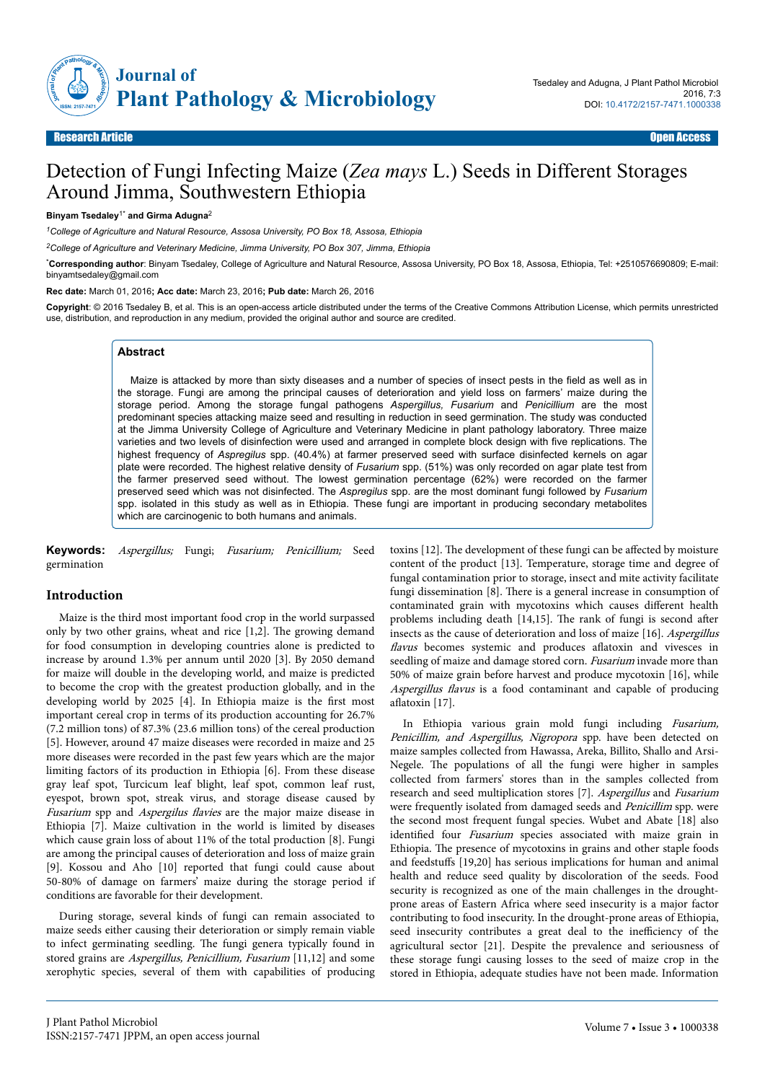

Research Article Open Access

# Detection of Fungi Infecting Maize (*Zea mays* L.) Seeds in Different Storages Around Jimma, Southwestern Ethiopia

#### **Binyam Tsedaley**1\* **and Girma Adugna**<sup>2</sup>

*<sup>1</sup>College of Agriculture and Natural Resource, Assosa University, PO Box 18, Assosa, Ethiopia*

*<sup>2</sup>College of Agriculture and Veterinary Medicine, Jimma University, PO Box 307, Jimma, Ethiopia*

\***Corresponding author**: Binyam Tsedaley, College of Agriculture and Natural Resource, Assosa University, PO Box 18, Assosa, Ethiopia, Tel: +2510576690809; E-mail: binyamtsedaley@gmail.com

**Rec date:** March 01, 2016**; Acc date:** March 23, 2016**; Pub date:** March 26, 2016

**Copyright**: © 2016 Tsedaley B, et al. This is an open-access article distributed under the terms of the Creative Commons Attribution License, which permits unrestricted use, distribution, and reproduction in any medium, provided the original author and source are credited.

# **Abstract**

Maize is attacked by more than sixty diseases and a number of species of insect pests in the field as well as in the storage. Fungi are among the principal causes of deterioration and yield loss on farmers' maize during the storage period. Among the storage fungal pathogens *Aspergillus, Fusarium* and *Penicillium* are the most predominant species attacking maize seed and resulting in reduction in seed germination. The study was conducted at the Jimma University College of Agriculture and Veterinary Medicine in plant pathology laboratory. Three maize varieties and two levels of disinfection were used and arranged in complete block design with five replications. The highest frequency of *Aspregilus* spp. (40.4%) at farmer preserved seed with surface disinfected kernels on agar plate were recorded. The highest relative density of *Fusarium* spp. (51%) was only recorded on agar plate test from the farmer preserved seed without. The lowest germination percentage (62%) were recorded on the farmer preserved seed which was not disinfected. The *Aspregilus* spp. are the most dominant fungi followed by *Fusarium* spp. isolated in this study as well as in Ethiopia. These fungi are important in producing secondary metabolites which are carcinogenic to both humans and animals.

**Keywords:** Aspergillus; Fungi; Fusarium; Penicillium; Seed germination

# **Introduction**

Maize is the third most important food crop in the world surpassed only by two other grains, wheat and rice [1,2]. Нe growing demand for food consumption in developing countries alone is predicted to increase by around 1.3% per annum until 2020 [3]. By 2050 demand for maize will double in the developing world, and maize is predicted to become the crop with the greatest production globally, and in the developing world by 2025 [4]. In Ethiopia maize is the first most important cereal crop in terms of its production accounting for 26.7% (7.2 million tons) of 87.3% (23.6 million tons) of the cereal production [5]. However, around 47 maize diseases were recorded in maize and 25 more diseases were recorded in the past few years which are the major limiting factors of its production in Ethiopia [6]. From these disease gray leaf spot, Turcicum leaf blight, leaf spot, common leaf rust, eyespot, brown spot, streak virus, and storage disease caused by Fusarium spp and *Aspergilus flavies* are the major maize disease in Ethiopia [7]. Maize cultivation in the world is limited by diseases which cause grain loss of about 11% of the total production [8]. Fungi are among the principal causes of deterioration and loss of maize grain [9]. Kossou and Aho [10] reported that fungi could cause about 50-80% of damage on farmers' maize during the storage period if conditions are favorable for their development.

During storage, several kinds of fungi can remain associated to maize seeds either causing their deterioration or simply remain viable to infect germinating seedling. Нe fungi genera typically found in stored grains are Aspergillus, Penicillium, Fusarium [11,12] and some xerophytic species, several of them with capabilities of producing toxins [12]. The development of these fungi can be affected by moisture content of the product [13]. Temperature, storage time and degree of fungal contamination prior to storage, insect and mite activity facilitate fungi dissemination [8]. Нere is a general increase in consumption of contaminated grain with mycotoxins which causes different health problems including death [14,15]. The rank of fungi is second after insects as the cause of deterioration and loss of maize [16]. Aspergillus flavus becomes systemic and produces aflatoxin and vivesces in seedling of maize and damage stored corn. Fusarium invade more than 50% of maize grain before harvest and produce mycotoxin [16], while Aspergillus flavus is a food contaminant and capable of producing aflatoxin [17].

In Ethiopia various grain mold fungi including Fusarium, Penicillim, and Aspergillus, Nigropora spp. have been detected on maize samples collected from Hawassa, Areka, Billito, Shallo and Arsi-Negele. Нe populations of all the fungi were higher in samples collected from farmers' stores than in the samples collected from research and seed multiplication stores [7]. Aspergillus and Fusarium were frequently isolated from damaged seeds and Penicillim spp. were the second most frequent fungal species. Wubet and Abate [18] also identified four Fusarium species associated with maize grain in Ethiopia. Нe presence of mycotoxins in grains and other staple foods and feedstuffs [19,20] has serious implications for human and animal health and reduce seed quality by discoloration of the seeds. Food security is recognized as one of the main challenges in the droughtprone areas of Eastern Africa where seed insecurity is a major factor contributing to food insecurity. In the drought-prone areas of Ethiopia, seed insecurity contributes a great deal to the inefficiency of the agricultural sector [21]. Despite the prevalence and seriousness of these storage fungi causing losses to the seed of maize crop in the stored in Ethiopia, adequate studies have not been made. Information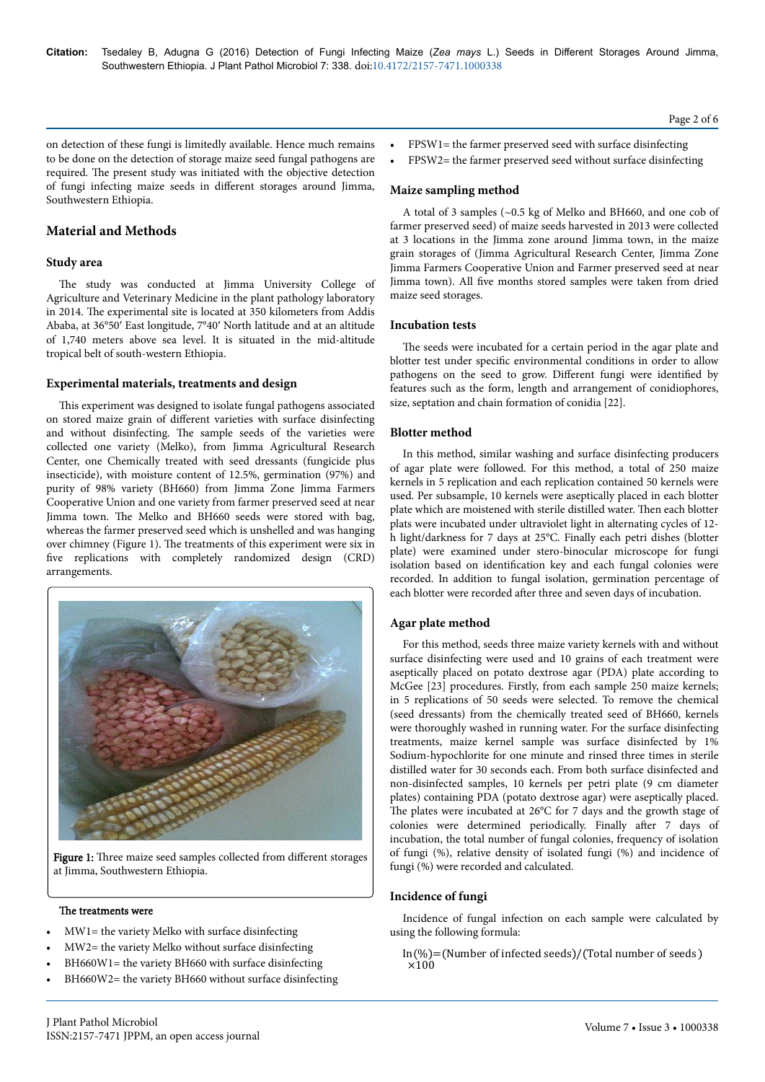on detection of these fungi is limitedly available. Hence much remains to be done on the detection of storage maize seed fungal pathogens are required. Нe present study was initiated with the objective detection of fungi infecting maize seeds in different storages around Jimma, Southwestern Ethiopia.

# **Material and Methods**

# **Study area**

The study was conducted at Jimma University College of Agriculture and Veterinary Medicine in the plant pathology laboratory in 2014. Нe experimental site is located at 350 kilometers from Addis Ababa, at 36°50′ East longitude, 7°40′ North latitude and at an altitude of 1,740 meters above sea level. It is situated in the mid-altitude tropical belt of south-western Ethiopia.

## **Experimental materials, treatments and design**

This experiment was designed to isolate fungal pathogens associated on stored maize grain of different varieties with surface disinfecting and without disinfecting. Нe sample seeds of the varieties were collected one variety (Melko), from Jimma Agricultural Research Center, one Chemically treated with seed dressants (fungicide plus insecticide), with moisture content of 12.5%, germination (97%) and purity of 98% variety (BH660) from Jimma Zone Jimma Farmers Cooperative Union and one variety from farmer preserved seed at near Jimma town. Нe Melko and BH660 seeds were stored with bag, whereas the farmer preserved seed which is unshelled and was hanging over chimney (Figure 1). Нe treatments of this experiment were six in five replications with completely randomized design (CRD) arrangements.



Figure 1: Three maize seed samples collected from different storages at Jimma, Southwestern Ethiopia.

#### The treatments were

- MW1= the variety Melko with surface disinfecting
- MW2= the variety Melko without surface disinfecting
- BH660W1= the variety BH660 with surface disinfecting
- BH660W2= the variety BH660 without surface disinfecting
- FPSW1= the farmer preserved seed with surface disinfecting
- FPSW2= the farmer preserved seed without surface disinfecting

#### **Maize sampling method**

A total of 3 samples (~0.5 kg of Melko and BH660, and one cob of farmer preserved seed) of maize seeds harvested in 2013 were collected at 3 locations in the Jimma zone around Jimma town, in the maize grain storages of (Jimma Agricultural Research Center, Jimma Zone Jimma Farmers Cooperative Union and Farmer preserved seed at near Jimma town). All five months stored samples were taken from dried maize seed storages.

#### **Incubation tests**

The seeds were incubated for a certain period in the agar plate and blotter test under specific environmental conditions in order to allow pathogens on the seed to grow. Different fungi were identified by features such as the form, length and arrangement of conidiophores, size, septation and chain formation of conidia [22].

# **Blotter method**

In this method, similar washing and surface disinfecting producers of agar plate were followed. For this method, a total of 250 maize kernels in 5 replication and each replication contained 50 kernels were used. Per subsample, 10 kernels were aseptically placed in each blotter plate which are moistened with sterile distilled water. Нen each blotter plats were incubated under ultraviolet light in alternating cycles of 12 h light/darkness for 7 days at 25°C. Finally each petri dishes (blotter plate) were examined under stero-binocular microscope for fungi isolation based on identification key and each fungal colonies were recorded. In addition to fungal isolation, germination percentage of each blotter were recorded after three and seven days of incubation.

## **Agar plate method**

For this method, seeds three maize variety kernels with and without surface disinfecting were used and 10 grains of each treatment were aseptically placed on potato dextrose agar (PDA) plate according to McGee [23] procedures. Firstly, from each sample 250 maize kernels; in 5 replications of 50 seeds were selected. To remove the chemical (seed dressants) from the chemically treated seed of BH660, kernels were thoroughly washed in running water. For the surface disinfecting treatments, maize kernel sample was surface disinfected by 1% Sodium-hypochlorite for one minute and rinsed three times in sterile distilled water for 30 seconds each. From both surface disinfected and non-disinfected samples, 10 kernels per petri plate (9 cm diameter plates) containing PDA (potato dextrose agar) were aseptically placed. The plates were incubated at 26°C for 7 days and the growth stage of colonies were determined periodically. Finally after 7 days of incubation, the total number of fungal colonies, frequency of isolation of fungi (%), relative density of isolated fungi (%) and incidence of fungi (%) were recorded and calculated.

#### **Incidence of fungi**

Incidence of fungal infection on each sample were calculated by using the following formula:

 $In (\% ) = (Number of infected seeds) / (Total number of seeds)$  $\times$ 100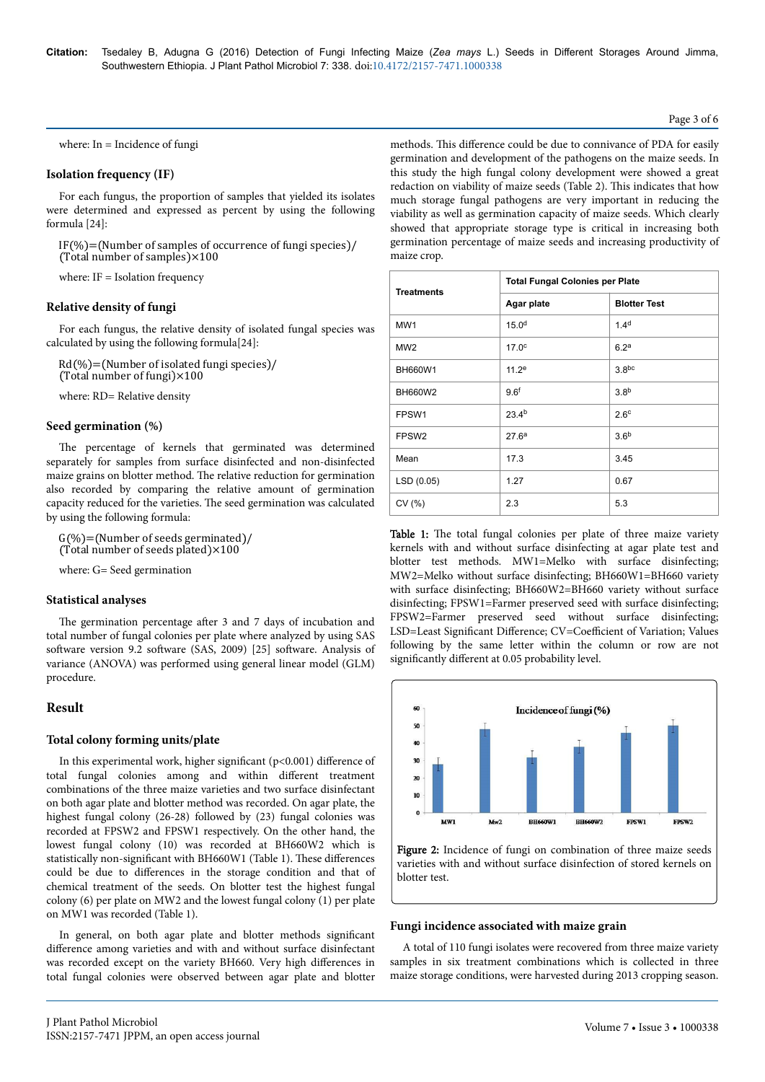where: In = Incidence of fungi

## **Isolation frequency (IF)**

For each fungus, the proportion of samples that yielded its isolates were determined and expressed as percent by using the following formula [24]:

 $IF(\%)=(Number of samples of occurrence of fungi species)$ (Total number of samples) $\times 100$ 

where: IF = Isolation frequency

#### **Relative density of fungi**

For each fungus, the relative density of isolated fungal species was calculated by using the following formula[24]:

 $Rd(\%) = (Number of isolated fungi species)$  $(Total number of fungi) \times 100$ 

where: RD= Relative density

#### **Seed germination (%)**

The percentage of kernels that germinated was determined separately for samples from surface disinfected and non-disinfected maize grains on blotter method. Нe relative reduction for germination also recorded by comparing the relative amount of germination capacity reduced for the varieties. Нe seed germination was calculated by using the following formula:

 $G(\%) = (Number of seeds germinated)$ (Total number of seeds plated) $\times$ 100

where: G= Seed germination

#### **Statistical analyses**

The germination percentage after 3 and 7 days of incubation and total number of fungal colonies per plate where analyzed by using SAS software version 9.2 software (SAS, 2009) [25] software. Analysis of variance (ANOVA) was performed using general linear model (GLM) procedure.

# **Result**

## **Total colony forming units/plate**

In this experimental work, higher significant ( $p$ <0.001) difference of total fungal colonies among and within different treatment combinations of the three maize varieties and two surface disinfectant on both agar plate and blotter method was recorded. On agar plate, the highest fungal colony (26-28) followed by (23) fungal colonies was recorded at FPSW2 and FPSW1 respectively. On the other hand, the lowest fungal colony (10) was recorded at BH660W2 which is statistically non-significant with BH660W1 (Table 1). These differences could be due to differences in the storage condition and that of chemical treatment of the seeds. On blotter test the highest fungal colony (6) per plate on MW2 and the lowest fungal colony (1) per plate on MW1 was recorded (Table 1).

In general, on both agar plate and blotter methods significant difference among varieties and with and without surface disinfectant was recorded except on the variety BH660. Very high differences in total fungal colonies were observed between agar plate and blotter

methods. This difference could be due to connivance of PDA for easily germination and development of the pathogens on the maize seeds. In this study the high fungal colony development were showed a great redaction on viability of maize seeds (Table 2). This indicates that how much storage fungal pathogens are very important in reducing the viability as well as germination capacity of maize seeds. Which clearly showed that appropriate storage type is critical in increasing both germination percentage of maize seeds and increasing productivity of maize crop.

| <b>Treatments</b> | <b>Total Fungal Colonies per Plate</b> |                     |
|-------------------|----------------------------------------|---------------------|
|                   | Agar plate                             | <b>Blotter Test</b> |
| MW <sub>1</sub>   | 15.0 <sup>d</sup>                      | 1.4 <sup>d</sup>    |
| MW <sub>2</sub>   | 17.0 <sup>c</sup>                      | 6.2 <sup>a</sup>    |
| BH660W1           | 11.2 <sup>e</sup>                      | 3.8 <sub>pc</sub>   |
| <b>BH660W2</b>    | 9.6 <sup>f</sup>                       | 3.8 <sup>b</sup>    |
| FPSW1             | 23.4 <sup>b</sup>                      | 2.6 <sup>c</sup>    |
| FPSW <sub>2</sub> | 27.6 <sup>a</sup>                      | 3.6 <sup>b</sup>    |
| Mean              | 17.3                                   | 3.45                |
| LSD (0.05)        | 1.27                                   | 0.67                |
| CV(%)             | 2.3                                    | 5.3                 |

Table 1: The total fungal colonies per plate of three maize variety kernels with and without surface disinfecting at agar plate test and blotter test methods. MW1=Melko with surface disinfecting; MW2=Melko without surface disinfecting; BH660W1=BH660 variety with surface disinfecting; BH660W2=BH660 variety without surface disinfecting; FPSW1=Farmer preserved seed with surface disinfecting; FPSW2=Farmer preserved seed without surface disinfecting; LSD=Least Significant Difference; CV=Coefficient of Variation; Values following by the same letter within the column or row are not significantly different at 0.05 probability level.



Figure 2: Incidence of fungi on combination of three maize seeds varieties with and without surface disinfection of stored kernels on blotter test.

#### **Fungi incidence associated with maize grain**

A total of 110 fungi isolates were recovered from three maize variety samples in six treatment combinations which is collected in three maize storage conditions, were harvested during 2013 cropping season.

#### Page 3 of 6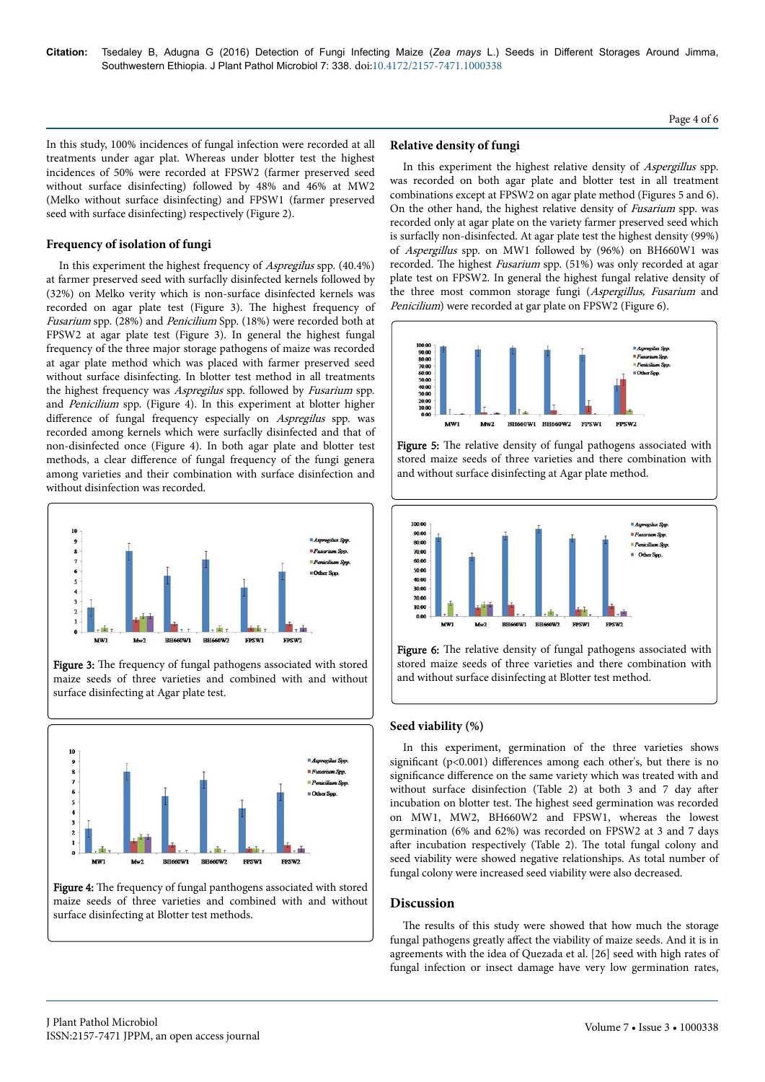In this study, 100% incidences of fungal infection were recorded at all treatments under agar plat. Whereas under blotter test the highest incidences of 50% were recorded at FPSW2 (farmer preserved seed without surface disinfecting) followed by 48% and 46% at MW2 (Melko without surface disinfecting) and FPSW1 (farmer preserved seed with surface disinfecting) respectively (Figure 2).

# **Frequency of isolation of fungi**

In this experiment the highest frequency of Aspregilus spp. (40.4%) at farmer preserved seed with surfaclly disinfected kernels followed by (32%) on Melko verity which is non-surface disinfected kernels was recorded on agar plate test (Figure 3). Нe highest frequency of Fusarium spp. (28%) and Penicilium Spp. (18%) were recorded both at FPSW2 at agar plate test (Figure 3). In general the highest fungal frequency of the three major storage pathogens of maize was recorded at agar plate method which was placed with farmer preserved seed without surface disinfecting. In blotter test method in all treatments the highest frequency was Aspregilus spp. followed by Fusarium spp. and Penicilium spp. (Figure 4). In this experiment at blotter higher difference of fungal frequency especially on Aspregilus spp. was recorded among kernels which were surfaclly disinfected and that of non-disinfected once (Figure 4). In both agar plate and blotter test methods, a clear difference of fungal frequency of the fungi genera among varieties and their combination with surface disinfection and without disinfection was recorded.



Figure 3: The frequency of fungal pathogens associated with stored maize seeds of three varieties and combined with and without surface disinfecting at Agar plate test.



Figure 4: The frequency of fungal panthogens associated with stored maize seeds of three varieties and combined with and without surface disinfecting at Blotter test methods.

# **Relative density of fungi**

In this experiment the highest relative density of Aspergillus spp. was recorded on both agar plate and blotter test in all treatment combinations except at FPSW2 on agar plate method (Figures 5 and 6). On the other hand, the highest relative density of Fusarium spp. was recorded only at agar plate on the variety farmer preserved seed which is surfaclly non-disinfected. At agar plate test the highest density (99%) of Aspergillus spp. on MW1 followed by (96%) on BH660W1 was recorded. The highest Fusarium spp. (51%) was only recorded at agar plate test on FPSW2. In general the highest fungal relative density of the three most common storage fungi (Aspergillus, Fusarium and Penicilium) were recorded at gar plate on FPSW2 (Figure 6).



Figure 5: The relative density of fungal pathogens associated with stored maize seeds of three varieties and there combination with and without surface disinfecting at Agar plate method.



Figure 6: The relative density of fungal pathogens associated with stored maize seeds of three varieties and there combination with and without surface disinfecting at Blotter test method.

# **Seed viability (%)**

In this experiment, germination of the three varieties shows significant ( $p<0.001$ ) differences among each other's, but there is no significance difference on the same variety which was treated with and without surface disinfection (Table 2) at both  $3$  and  $7$  day after incubation on blotter test. Нe highest seed germination was recorded on MW1, MW2, BH660W2 and FPSW1, whereas the lowest germination (6% and 62%) was recorded on FPSW2 at 3 and 7 days after incubation respectively (Table 2). The total fungal colony and seed viability were showed negative relationships. As total number of fungal colony were increased seed viability were also decreased.

# **Discussion**

The results of this study were showed that how much the storage fungal pathogens greatly affect the viability of maize seeds. And it is in agreements with the idea of Quezada et al. [26] seed with high rates of fungal infection or insect damage have very low germination rates,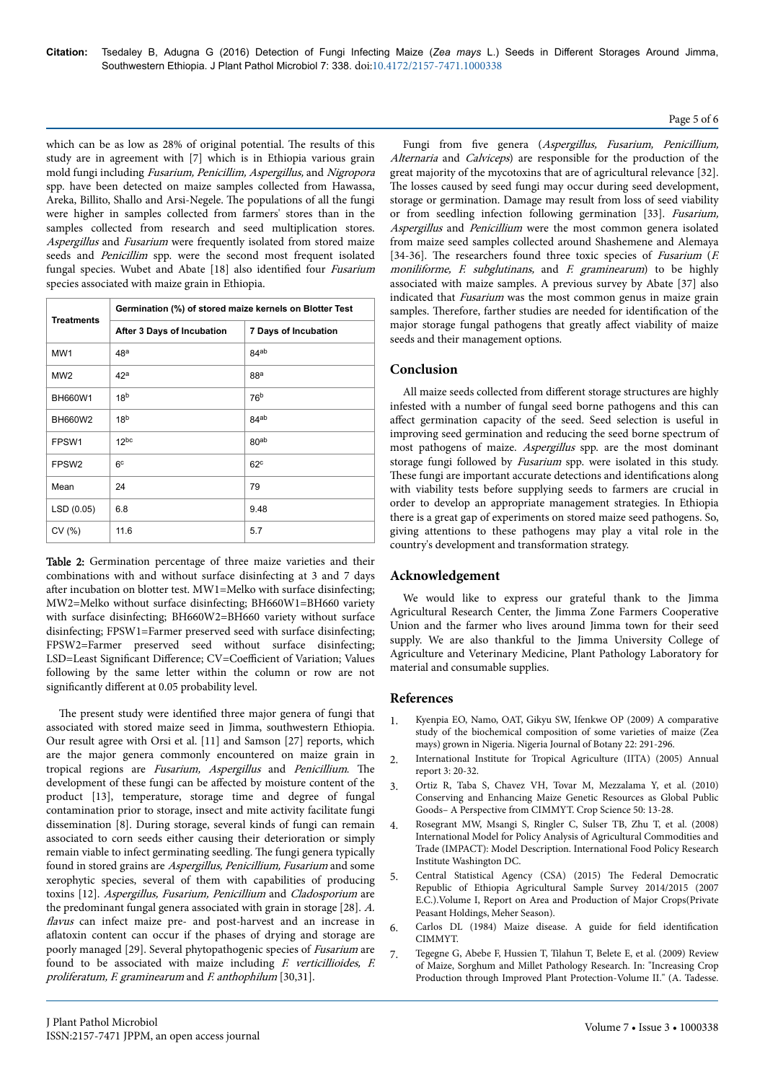which can be as low as 28% of original potential. Нe results of this study are in agreement with [7] which is in Ethiopia various grain mold fungi including Fusarium, Penicillim, Aspergillus, and Nigropora spp. have been detected on maize samples collected from Hawassa, Areka, Billito, Shallo and Arsi-Negele. Нe populations of all the fungi were higher in samples collected from farmers' stores than in the samples collected from research and seed multiplication stores. Aspergillus and Fusarium were frequently isolated from stored maize seeds and Penicillim spp. were the second most frequent isolated fungal species. Wubet and Abate [18] also identified four Fusarium species associated with maize grain in Ethiopia.

| <b>Treatments</b> | Germination (%) of stored maize kernels on Blotter Test |                      |  |
|-------------------|---------------------------------------------------------|----------------------|--|
|                   | After 3 Days of Incubation                              | 7 Days of Incubation |  |
| MW <sub>1</sub>   | 48 <sup>a</sup>                                         | 84 <sup>ab</sup>     |  |
| MW <sub>2</sub>   | 42 <sup>a</sup>                                         | 88ª                  |  |
| <b>BH660W1</b>    | 18 <sup>b</sup>                                         | 76 <sup>b</sup>      |  |
| <b>BH660W2</b>    | 18 <sup>b</sup>                                         | $84^{ab}$            |  |
| FPSW1             | 12 <sub>pc</sub>                                        | 80 <sup>ab</sup>     |  |
| FPSW <sub>2</sub> | 6 <sup>c</sup>                                          | 62 <sup>c</sup>      |  |
| Mean              | 24                                                      | 79                   |  |
| LSD(0.05)         | 6.8                                                     | 9.48                 |  |
| CV(%)             | 11.6                                                    | 5.7                  |  |

Table 2: Germination percentage of three maize varieties and their combinations with and without surface disinfecting at 3 and 7 days after incubation on blotter test. MW1=Melko with surface disinfecting; MW2=Melko without surface disinfecting; BH660W1=BH660 variety with surface disinfecting; BH660W2=BH660 variety without surface disinfecting; FPSW1=Farmer preserved seed with surface disinfecting; FPSW2=Farmer preserved seed without surface disinfecting; LSD=Least Significant Difference; CV=Coefficient of Variation; Values following by the same letter within the column or row are not significantly different at 0.05 probability level.

The present study were identified three major genera of fungi that associated with stored maize seed in Jimma, southwestern Ethiopia. Our result agree with Orsi et al. [11] and Samson [27] reports, which are the major genera commonly encountered on maize grain in tropical regions are Fusarium, Aspergillus and Penicillium. The development of these fungi can be affected by moisture content of the product [13], temperature, storage time and degree of fungal contamination prior to storage, insect and mite activity facilitate fungi dissemination [8]. During storage, several kinds of fungi can remain associated to corn seeds either causing their deterioration or simply remain viable to infect germinating seedling. Нe fungi genera typically found in stored grains are Aspergillus, Penicillium, Fusarium and some xerophytic species, several of them with capabilities of producing toxins [12]. Aspergillus, Fusarium, Penicillium and Cladosporium are the predominant fungal genera associated with grain in storage [28]. A. flavus can infect maize pre- and post-harvest and an increase in aflatoxin content can occur if the phases of drying and storage are poorly managed [29]. Several phytopathogenic species of Fusarium are found to be associated with maize including F. verticillioides, F. proliferatum, F. graminearum and F. anthophilum [30,31].

Page 5 of 6

Fungi from five genera (Aspergillus, Fusarium, Penicillium, Alternaria and Calviceps) are responsible for the production of the great majority of the mycotoxins that are of agricultural relevance [32]. The losses caused by seed fungi may occur during seed development, storage or germination. Damage may result from loss of seed viability or from seedling infection following germination [33]. Fusarium, Aspergillus and Penicillium were the most common genera isolated from maize seed samples collected around Shashemene and Alemaya [34-36]. The researchers found three toxic species of *Fusarium* (*F.* moniliforme,  $F.$  subglutinans, and  $F.$  graminearum) to be highly associated with maize samples. A previous survey by Abate [37] also indicated that Fusarium was the most common genus in maize grain samples. Therefore, farther studies are needed for identification of the major storage fungal pathogens that greatly affect viability of maize seeds and their management options.

# **Conclusion**

All maize seeds collected from different storage structures are highly infested with a number of fungal seed borne pathogens and this can affect germination capacity of the seed. Seed selection is useful in improving seed germination and reducing the seed borne spectrum of most pathogens of maize. Aspergillus spp. are the most dominant storage fungi followed by *Fusarium* spp. were isolated in this study. These fungi are important accurate detections and identifications along with viability tests before supplying seeds to farmers are crucial in order to develop an appropriate management strategies. In Ethiopia there is a great gap of experiments on stored maize seed pathogens. So, giving attentions to these pathogens may play a vital role in the country's development and transformation strategy.

# **Acknowledgement**

We would like to express our grateful thank to the Jimma Agricultural Research Center, the Jimma Zone Farmers Cooperative Union and the farmer who lives around Jimma town for their seed supply. We are also thankful to the Jimma University College of Agriculture and Veterinary Medicine, Plant Pathology Laboratory for material and consumable supplies.

# **References**

- 1. Kyenpia EO, Namo, OAT, Gikyu SW, Ifenkwe OP (2009) A comparative study of the biochemical composition of some varieties of maize (Zea mays) grown in Nigeria. Nigeria Journal of Botany 22: 291-296.
- 2. International Institute for Tropical Agriculture (IITA) (2005) Annual report 3: 20-32.
- 3. [Ortiz R, Taba S, Chavez VH, Tovar M, Mezzalama Y, et al. \(2010\)](https://dl.sciencesocieties.org/publications/cs/abstracts/50/1/13) [Conserving and Enhancing Maize Genetic Resources as Global Public](https://dl.sciencesocieties.org/publications/cs/abstracts/50/1/13) [Goods– A Perspective from CIMMYT. Crop Science 50: 13-28.](https://dl.sciencesocieties.org/publications/cs/abstracts/50/1/13)
- 4. [Rosegrant MW, Msangi S, Ringler C, Sulser TB, Zhu T, et al. \(2008\)](https://www.researchgate.net/profile/Siwa_Msangi/publication/267995611_International_Model_for_Policy_Analysis_of_Agricultural_Commodities_and_Trade_(IMPACT)_Model_Description/links/550d6daa0cf2ac2905a6a384.pdf) [International Model for Policy Analysis of Agricultural Commodities and](https://www.researchgate.net/profile/Siwa_Msangi/publication/267995611_International_Model_for_Policy_Analysis_of_Agricultural_Commodities_and_Trade_(IMPACT)_Model_Description/links/550d6daa0cf2ac2905a6a384.pdf) [Trade \(IMPACT\): Model Description. International Food Policy Research](https://www.researchgate.net/profile/Siwa_Msangi/publication/267995611_International_Model_for_Policy_Analysis_of_Agricultural_Commodities_and_Trade_(IMPACT)_Model_Description/links/550d6daa0cf2ac2905a6a384.pdf) [Institute Washington DC.](https://www.researchgate.net/profile/Siwa_Msangi/publication/267995611_International_Model_for_Policy_Analysis_of_Agricultural_Commodities_and_Trade_(IMPACT)_Model_Description/links/550d6daa0cf2ac2905a6a384.pdf)
- 5. Central Statistical Agency (CSA) (2015) Нe Federal Democratic Republic of Ethiopia Agricultural Sample Survey 2014/2015 (2007 E.C.).Volume I, Report on Area and Production of Major Crops(Private Peasant Holdings, Meher Season).
- 6. [Carlos DL \(1984\) Maize disease. A guide for](http://repository.cimmyt.org/handle/10883/3707) field identification [CIMMYT.](http://repository.cimmyt.org/handle/10883/3707)
- 7. Tegegne G, Abebe F, Hussien T, Tilahun T, Belete E, et al. (2009) Review of Maize, Sorghum and Millet Pathology Research. In: "Increasing Crop Production through Improved Plant Protection-Volume II." (A. Tadesse.